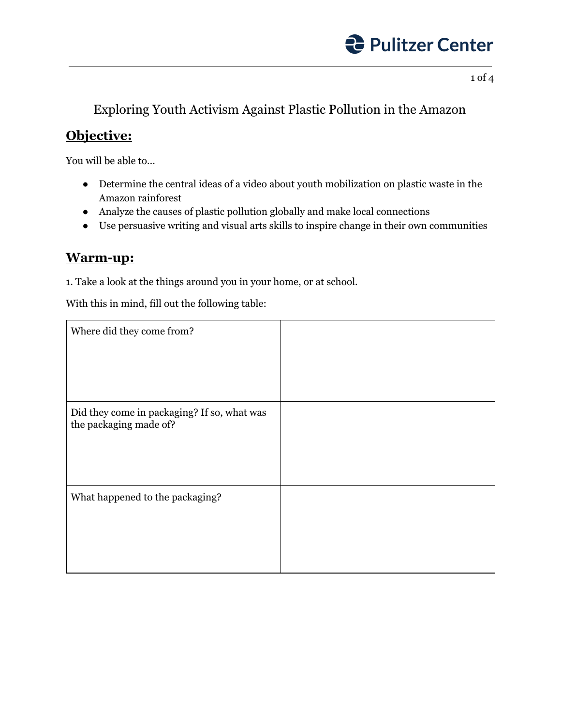

1 of 4

## Exploring Youth Activism Against Plastic Pollution in the Amazon

### **Objective:**

You will be able to…

- Determine the central ideas of a video about youth mobilization on plastic waste in the Amazon rainforest
- Analyze the causes of plastic pollution globally and make local connections
- Use persuasive writing and visual arts skills to inspire change in their own communities

#### **Warm-up:**

1. Take a look at the things around you in your home, or at school.

With this in mind, fill out the following table:

| Where did they come from?                                             |  |
|-----------------------------------------------------------------------|--|
| Did they come in packaging? If so, what was<br>the packaging made of? |  |
| What happened to the packaging?                                       |  |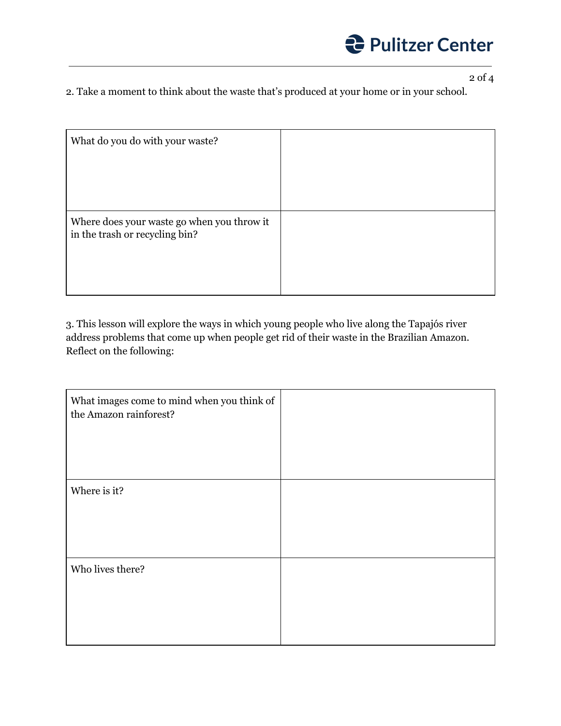

2 of 4

2. Take a moment to think about the waste that's produced at your home or in your school.

| What do you do with your waste?                                              |  |
|------------------------------------------------------------------------------|--|
|                                                                              |  |
|                                                                              |  |
| Where does your waste go when you throw it<br>in the trash or recycling bin? |  |
|                                                                              |  |

3. This lesson will explore the ways in which young people who live along the Tapajós river address problems that come up when people get rid of their waste in the Brazilian Amazon. Reflect on the following:

| What images come to mind when you think of<br>the Amazon rainforest? |  |
|----------------------------------------------------------------------|--|
|                                                                      |  |
| Where is it?                                                         |  |
|                                                                      |  |
| Who lives there?                                                     |  |
|                                                                      |  |
|                                                                      |  |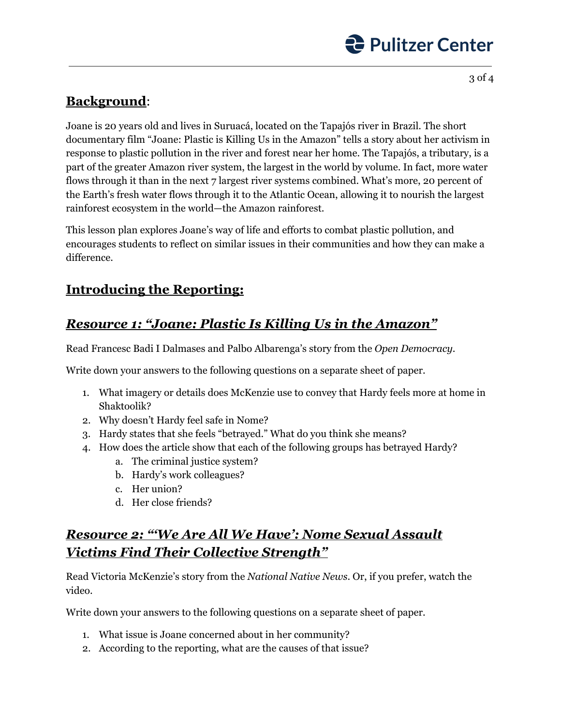# **C** Pulitzer Center

3 of 4

## **Background**:

Joane is 20 years old and lives in Suruacá, located on the Tapajós river in Brazil. The short documentary film "Joane: Plastic is Killing Us in the Amazon" tells a story about her activism in response to plastic pollution in the river and forest near her home. The Tapajós, a tributary, is a part of the greater Amazon river system, the largest in the world by volume. In fact, more water flows through it than in the next 7 largest river systems combined. What's more, 20 percent of the Earth's fresh water flows through it to the Atlantic Ocean, allowing it to nourish the largest rainforest ecosystem in the world—the Amazon rainforest.

This lesson plan explores Joane's way of life and efforts to combat plastic pollution, and encourages students to reflect on similar issues in their communities and how they can make a difference.

## **Introducing the Reporting:**

# *Resource 1: "Joane: Plastic Is Killing Us in the Amazon"*

Read Francesc Badi I Dalmases and Palbo Albarenga's story from the *Open Democracy*.

Write down your answers to the following questions on a separate sheet of paper.

- 1. What imagery or details does McKenzie use to convey that Hardy feels more at home in Shaktoolik?
- 2. Why doesn't Hardy feel safe in Nome?
- 3. Hardy states that she feels "betrayed." What do you think she means?
- 4. How does the article show that each of the following groups has betrayed Hardy?
	- a. The criminal justice system?
	- b. Hardy's work colleagues?
	- c. Her union?
	- d. Her close friends?

# *Resource 2: "'We Are All We Have': Nome Sexual Assault Victims Find Their Collective Strength"*

Read Victoria McKenzie's story from the *National Native News*. Or, if you prefer, watch the video.

Write down your answers to the following questions on a separate sheet of paper.

- 1. What issue is Joane concerned about in her community?
- 2. According to the reporting, what are the causes of that issue?